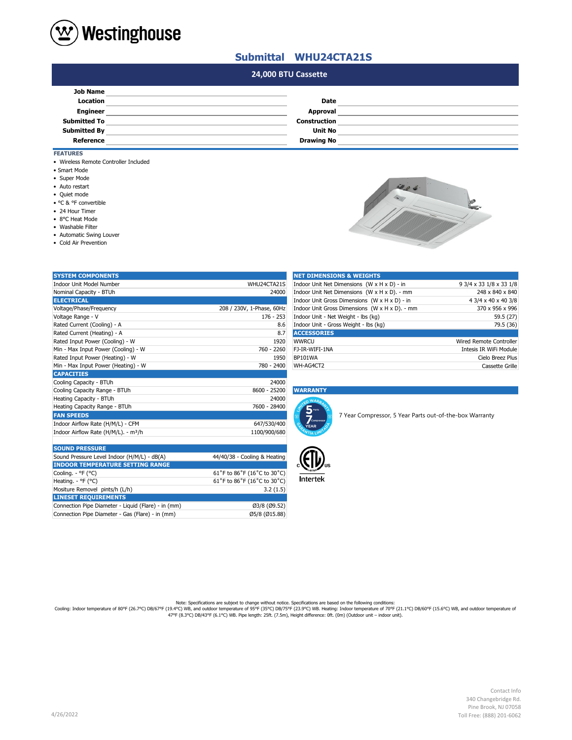

## **Submittal WHU24CTA21S**

## **#N/A 24,000 BTU Cassette**

| <b>Job Name</b>     |                     |  |
|---------------------|---------------------|--|
| Location            | Date                |  |
| <b>Engineer</b>     | Approval            |  |
| <b>Submitted To</b> | <b>Construction</b> |  |
| <b>Submitted By</b> | <b>Unit No</b>      |  |
| Reference           | <b>Drawing No</b>   |  |
|                     |                     |  |

### **FEATURES**

- Wireless Remote Controller Included
- Smart Mode
- Super Mode
- Auto restart
- Quiet mode
- °C & °F convertible
- 24 Hour Timer
- 8°C Heat Mode
- Washable Filter
- Automatic Swing Louver

Mositure Removel pints/h (L/h) **LINESET REQUIREMENTS**

Connection Pipe Diameter - Gas (Flare) - in (mm)

• Cold Air Prevention



| <b>SYSTEM COMPONENTS</b>                         |                              | <b>NET DIMENSIONS &amp; WEIGHTS</b>                                                  |                                |
|--------------------------------------------------|------------------------------|--------------------------------------------------------------------------------------|--------------------------------|
| Indoor Unit Model Number                         | WHU24CTA21S                  | Indoor Unit Net Dimensions (W x H x D) - in<br>9 3/4 x 33 1/8 x 33 1/8               |                                |
| Nominal Capacity - BTUh                          | 24000                        | Indoor Unit Net Dimensions (W x H x D). - mm<br>248 x 840 x 840                      |                                |
| <b>ELECTRICAL</b>                                |                              | Indoor Unit Gross Dimensions (W x H x D) - in                                        | 4 3/4 x 40 x 40 3/8            |
| Voltage/Phase/Frequency                          | 208 / 230V, 1-Phase, 60Hz    | Indoor Unit Gross Dimensions (W x H x D). - mm                                       | 370 x 956 x 996                |
| Voltage Range - V                                | $176 - 253$                  | Indoor Unit - Net Weight - lbs (kg)                                                  | 59.5 (27)                      |
| Rated Current (Cooling) - A                      | 8.6                          | Indoor Unit - Gross Weight - lbs (kg)                                                | 79.5 (36)                      |
| Rated Current (Heating) - A                      | 8.7                          | <b>ACCESSORIES</b>                                                                   |                                |
| Rated Input Power (Cooling) - W                  | 1920                         | <b>WWRCU</b>                                                                         | <b>Wired Remote Controller</b> |
| Min - Max Input Power (Cooling) - W              | 760 - 2260                   | FJ-IR-WIFI-1NA                                                                       | Intesis IR WiFi Module         |
| Rated Input Power (Heating) - W                  | 1950                         | <b>BP101WA</b>                                                                       | Cielo Breez Plus               |
| Min - Max Input Power (Heating) - W              | 780 - 2400                   | WH-AG4CT2                                                                            | Cassette Grille                |
| <b>CAPACITIES</b>                                |                              |                                                                                      |                                |
| Cooling Capacity - BTUh                          | 24000                        |                                                                                      |                                |
| Cooling Capacity Range - BTUh                    | 8600 - 25200                 | <b>WARRANTY</b>                                                                      |                                |
| Heating Capacity - BTUh                          | 24000                        | <b>WAR</b>                                                                           |                                |
| Heating Capacity Range - BTUh                    | 7600 - 28400                 | 5 <sub>parts</sub>                                                                   |                                |
| <b>FAN SPEEDS</b>                                |                              | 7 Year Compressor, 5 Year Parts out-of-the-box Warranty<br>$\overline{Z}$ compressor |                                |
| Indoor Airflow Rate (H/M/L) - CFM                | 647/530/400                  | <b>YEAR</b>                                                                          |                                |
| Indoor Airflow Rate (H/M/L). - m <sup>3</sup> /h | 1100/900/680                 |                                                                                      |                                |
|                                                  |                              |                                                                                      |                                |
| <b>SOUND PRESSURE</b>                            |                              |                                                                                      |                                |
| Sound Pressure Level Indoor (H/M/L) - dB(A)      | 44/40/38 - Cooling & Heating |                                                                                      |                                |
| <b>INDOOR TEMPERATURE SETTING RANGE</b>          |                              |                                                                                      |                                |
| Cooling. - °F (°C)                               | 61°F to 86°F (16°C to 30°C)  |                                                                                      |                                |
| Heating. - °F (°C)                               | 61°F to 86°F (16°C to 30°C)  | <b>Intertek</b>                                                                      |                                |
|                                                  |                              |                                                                                      |                                |

Connection Pipe Diameter - Liquid (Flare) - in (mm) Ø3/8 (Ø9.52)

| <b>NET DIMENSIONS &amp; WEIGHTS</b>            |                         |
|------------------------------------------------|-------------------------|
| Indoor Unit Net Dimensions (W x H x D) - in    | 9 3/4 x 33 1/8 x 33 1/8 |
| Indoor Unit Net Dimensions (W x H x D). - mm   | 248 x 840 x 840         |
| Indoor Unit Gross Dimensions (W x H x D) - in  | 4 3/4 x 40 x 40 3/8     |
| Indoor Unit Gross Dimensions (W x H x D). - mm | 370 x 956 x 996         |
| Indoor Unit - Net Weight - Ibs (kg)            | 59.5 (27)               |
| Indoor Unit - Gross Weight - Ibs (kg)          | 79.5 (36)               |
| <b>ACCESSORIES</b>                             |                         |
| <b>WWRCU</b>                                   | Wired Remote Controller |
| FJ-IR-WIFI-1NA                                 | Intesis IR WiFi Module  |
| BP101WA                                        | Cielo Breez Plus        |
| WH-AG4CT2                                      | Cassette Grille         |

#### Cooling Capacity Range - BTUh 8600 - 25200 **WARRANTY**





 $61°$ F to 86°F (16°C to 30°C)<br>3.2 (1.5)

Note: Specifications are subjext to change without notice. Specifications are based on the following conditions:<br>Cooling: Indoor temperature of 80°F (26.7°C) DB/67°F (19.4°C) WB, and outdoor temperature of 90°F (26.7°C) DB